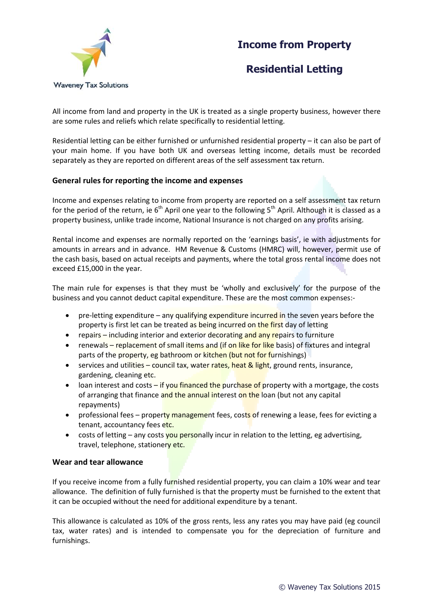## **Income from Property**



## **Residential Letting**

All income from land and property in the UK is treated as a single property business, however there are some rules and reliefs which relate specifically to residential letting.

Residential letting can be either furnished or unfurnished residential property – it can also be part of your main home. If you have both UK and overseas letting income, details must be recorded separately as they are reported on different areas of the self assessment tax return.

### **General rules for reporting the income and expenses**

Income and expenses relating to income from property are reported on a self assessment tax return for the period of the return, ie  $6<sup>th</sup>$  April one year to the following  $5<sup>th</sup>$  April. Although it is classed as a property business, unlike trade income, National Insurance is not charged on any profits arising.

Rental income and expenses are normally reported on the 'earnings basis', ie with adjustments for amounts in arrears and in advance. HM Revenue & Customs (HMRC) will, however, permit use of the cash basis, based on actual receipts and payments, where the total gross rental income does not exceed £15,000 in the year.

The main rule for expenses is that they must be 'wholly and exclusively' for the purpose of the business and you cannot deduct capital expenditure. These are the most common expenses:-

- $\bullet$  pre-letting expenditure any qualifying expenditure incurred in the seven years before the property is first let can be treated as being incurred on the first day of letting
- repairs including interior and exterior decorating and any repairs to furniture
- renewals replacement of small items and (if on like for like basis) of fixtures and integral parts of the property, eg bathroom or kitchen (but not for furnishings)
- **•** services and utilities council tax, water rates, heat  $\&$  light, ground rents, insurance, gardening, cleaning etc.
- loan interest and costs if you financed the purchase of property with a mortgage, the costs of arranging that finance and the annual interest on the loan (but not any capital repayments)
- professional fees property management fees, costs of renewing a lease, fees for evicting a tenant, accountancy fees etc.
- costs of letting any costs you personally incur in relation to the letting, eg advertising, travel, telephone, stationery etc.

#### **Wear and tear allowance**

If you receive income from a fully furnished residential property, you can claim a 10% wear and tear allowance. The definition of fully furnished is that the property must be furnished to the extent that it can be occupied without the need for additional expenditure by a tenant.

This allowance is calculated as 10% of the gross rents, less any rates you may have paid (eg council tax, water rates) and is intended to compensate you for the depreciation of furniture and furnishings.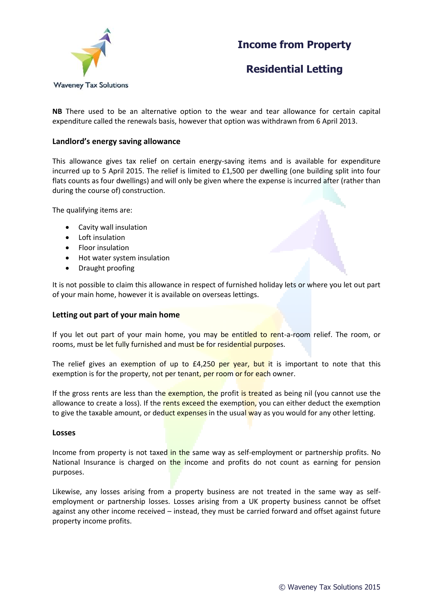

# **Income from Property**

**Residential Letting**

**NB** There used to be an alternative option to the wear and tear allowance for certain capital expenditure called the renewals basis, however that option was withdrawn from 6 April 2013.

### **Landlord's energy saving allowance**

This allowance gives tax relief on certain energy-saving items and is available for expenditure incurred up to 5 April 2015. The relief is limited to £1,500 per dwelling (one building split into four flats counts as four dwellings) and will only be given where the expense is incurred after (rather than during the course of) construction.

The qualifying items are:

- Cavity wall insulation
- Loft insulation
- Floor insulation
- Hot water system insulation
- Draught proofing

It is not possible to claim this allowance in respect of furnished holiday lets or where you let out part of your main home, however it is available on overseas lettings.

#### **Letting out part of your main home**

If you let out part of your main home, you may be entitled to rent-a-room relief. The room, or rooms, must be let fully furnished and must be for residential purposes.

The relief gives an exemption of up to  $E4,250$  per year, but it is important to note that this exemption is for the property, not per tenant, per room or for each owner.

If the gross rents are less than the exemption, the profit is treated as being nil (you cannot use the allowance to create a loss). If the rents exceed the exemption, you can either deduct the exemption to give the taxable amount, or deduct expenses in the usual way as you would for any other letting.

#### **Losses**

Income from property is not taxed in the same way as self-employment or partnership profits. No National Insurance is charged on the income and profits do not count as earning for pension purposes.

Likewise, any losses arising from a property business are not treated in the same way as selfemployment or partnership losses. Losses arising from a UK property business cannot be offset against any other income received – instead, they must be carried forward and offset against future property income profits.